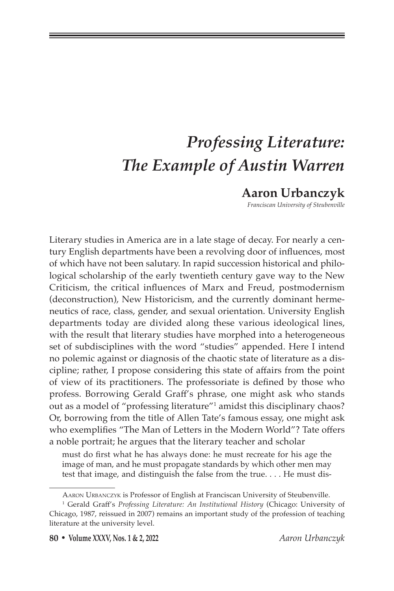# *Professing Literature: The Example of Austin Warren*

## **Aaron Urbanczyk**

*Franciscan University of Steubenville*

Literary studies in America are in a late stage of decay. For nearly a century English departments have been a revolving door of influences, most of which have not been salutary. In rapid succession historical and philological scholarship of the early twentieth century gave way to the New Criticism, the critical influences of Marx and Freud, postmodernism (deconstruction), New Historicism, and the currently dominant hermeneutics of race, class, gender, and sexual orientation. University English departments today are divided along these various ideological lines, with the result that literary studies have morphed into a heterogeneous set of subdisciplines with the word "studies" appended. Here I intend no polemic against or diagnosis of the chaotic state of literature as a discipline; rather, I propose considering this state of affairs from the point of view of its practitioners. The professoriate is defined by those who profess. Borrowing Gerald Graff's phrase, one might ask who stands out as a model of "professing literature"1 amidst this disciplinary chaos? Or, borrowing from the title of Allen Tate's famous essay, one might ask who exemplifies "The Man of Letters in the Modern World"? Tate offers a noble portrait; he argues that the literary teacher and scholar

must do first what he has always done: he must recreate for his age the image of man, and he must propagate standards by which other men may test that image, and distinguish the false from the true. . . . He must dis-

Aaron Urbanczyk is Professor of English at Franciscan University of Steubenville.

<sup>&</sup>lt;sup>1</sup> Gerald Graff's *Professing Literature: An Institutional History* (Chicago: University of Chicago, 1987, reissued in 2007) remains an important study of the profession of teaching literature at the university level.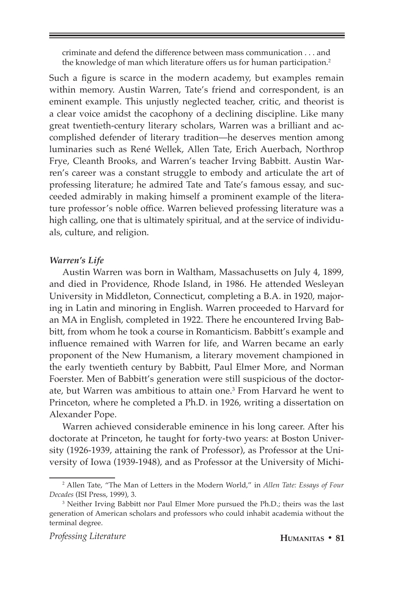criminate and defend the difference between mass communication . . . and the knowledge of man which literature offers us for human participation.2

Such a figure is scarce in the modern academy, but examples remain within memory. Austin Warren, Tate's friend and correspondent, is an eminent example. This unjustly neglected teacher, critic, and theorist is a clear voice amidst the cacophony of a declining discipline. Like many great twentieth-century literary scholars, Warren was a brilliant and accomplished defender of literary tradition—he deserves mention among luminaries such as René Wellek, Allen Tate, Erich Auerbach, Northrop Frye, Cleanth Brooks, and Warren's teacher Irving Babbitt. Austin Warren's career was a constant struggle to embody and articulate the art of professing literature; he admired Tate and Tate's famous essay, and succeeded admirably in making himself a prominent example of the literature professor's noble office. Warren believed professing literature was a high calling, one that is ultimately spiritual, and at the service of individuals, culture, and religion.

#### *Warren's Life*

Austin Warren was born in Waltham, Massachusetts on July 4, 1899, and died in Providence, Rhode Island, in 1986. He attended Wesleyan University in Middleton, Connecticut, completing a B.A. in 1920, majoring in Latin and minoring in English. Warren proceeded to Harvard for an MA in English, completed in 1922. There he encountered Irving Babbitt, from whom he took a course in Romanticism. Babbitt's example and influence remained with Warren for life, and Warren became an early proponent of the New Humanism, a literary movement championed in the early twentieth century by Babbitt, Paul Elmer More, and Norman Foerster. Men of Babbitt's generation were still suspicious of the doctorate, but Warren was ambitious to attain one.<sup>3</sup> From Harvard he went to Princeton, where he completed a Ph.D. in 1926, writing a dissertation on Alexander Pope.

Warren achieved considerable eminence in his long career. After his doctorate at Princeton, he taught for forty-two years: at Boston University (1926-1939, attaining the rank of Professor), as Professor at the University of Iowa (1939-1948), and as Professor at the University of Michi-

<sup>2</sup> Allen Tate, "The Man of Letters in the Modern World," in *Allen Tate: Essays of Four Decades* (ISI Press, 1999), 3.

<sup>3</sup> Neither Irving Babbitt nor Paul Elmer More pursued the Ph.D.; theirs was the last generation of American scholars and professors who could inhabit academia without the terminal degree.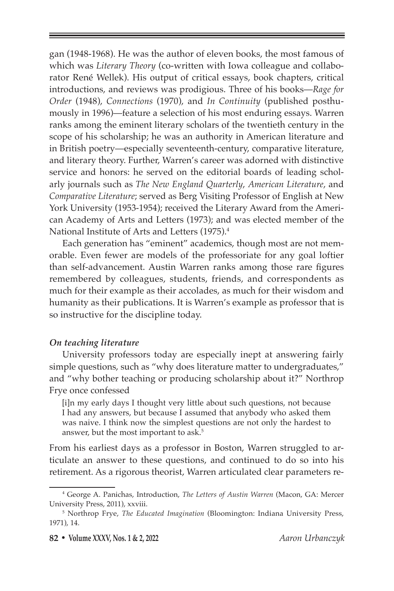gan (1948-1968). He was the author of eleven books, the most famous of which was *Literary Theory* (co-written with Iowa colleague and collaborator René Wellek). His output of critical essays, book chapters, critical introductions, and reviews was prodigious. Three of his books—*Rage for Order* (1948), *Connections* (1970), and *In Continuity* (published posthumously in 1996)—feature a selection of his most enduring essays. Warren ranks among the eminent literary scholars of the twentieth century in the scope of his scholarship; he was an authority in American literature and in British poetry—especially seventeenth-century, comparative literature, and literary theory. Further, Warren's career was adorned with distinctive service and honors: he served on the editorial boards of leading scholarly journals such as *The New England Quarterly*, *American Literature*, and *Comparative Literature*; served as Berg Visiting Professor of English at New York University (1953-1954); received the Literary Award from the American Academy of Arts and Letters (1973); and was elected member of the National Institute of Arts and Letters (1975).4

Each generation has "eminent" academics, though most are not memorable. Even fewer are models of the professoriate for any goal loftier than self-advancement. Austin Warren ranks among those rare figures remembered by colleagues, students, friends, and correspondents as much for their example as their accolades, as much for their wisdom and humanity as their publications. It is Warren's example as professor that is so instructive for the discipline today.

#### *On teaching literature*

University professors today are especially inept at answering fairly simple questions, such as "why does literature matter to undergraduates," and "why bother teaching or producing scholarship about it?" Northrop Frye once confessed

[i]n my early days I thought very little about such questions, not because I had any answers, but because I assumed that anybody who asked them was naive. I think now the simplest questions are not only the hardest to answer, but the most important to ask.5

From his earliest days as a professor in Boston, Warren struggled to articulate an answer to these questions, and continued to do so into his retirement. As a rigorous theorist, Warren articulated clear parameters re-

<sup>4</sup> George A. Panichas, Introduction, *The Letters of Austin Warren* (Macon, GA: Mercer University Press, 2011), xxviii.

<sup>5</sup> Northrop Frye, *The Educated Imagination* (Bloomington: Indiana University Press, 1971), 14.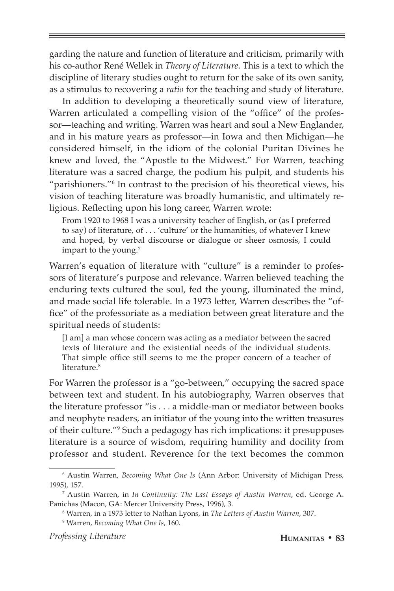garding the nature and function of literature and criticism, primarily with his co-author René Wellek in *Theory of Literature*. This is a text to which the discipline of literary studies ought to return for the sake of its own sanity, as a stimulus to recovering a *ratio* for the teaching and study of literature.

In addition to developing a theoretically sound view of literature, Warren articulated a compelling vision of the "office" of the professor—teaching and writing. Warren was heart and soul a New Englander, and in his mature years as professor—in Iowa and then Michigan—he considered himself, in the idiom of the colonial Puritan Divines he knew and loved, the "Apostle to the Midwest." For Warren, teaching literature was a sacred charge, the podium his pulpit, and students his "parishioners."<sup>6</sup> In contrast to the precision of his theoretical views, his vision of teaching literature was broadly humanistic, and ultimately religious. Reflecting upon his long career, Warren wrote:

From 1920 to 1968 I was a university teacher of English, or (as I preferred to say) of literature, of . . . 'culture' or the humanities, of whatever I knew and hoped, by verbal discourse or dialogue or sheer osmosis, I could impart to the young.<sup>7</sup>

Warren's equation of literature with "culture" is a reminder to professors of literature's purpose and relevance. Warren believed teaching the enduring texts cultured the soul, fed the young, illuminated the mind, and made social life tolerable. In a 1973 letter, Warren describes the "office" of the professoriate as a mediation between great literature and the spiritual needs of students:

[I am] a man whose concern was acting as a mediator between the sacred texts of literature and the existential needs of the individual students. That simple office still seems to me the proper concern of a teacher of literature.<sup>8</sup>

For Warren the professor is a "go-between," occupying the sacred space between text and student. In his autobiography, Warren observes that the literature professor "is . . . a middle-man or mediator between books and neophyte readers, an initiator of the young into the written treasures of their culture."<sup>9</sup> Such a pedagogy has rich implications: it presupposes literature is a source of wisdom, requiring humility and docility from professor and student. Reverence for the text becomes the common

*Professing Literature* **Humanitas • 83**

<sup>6</sup> Austin Warren, *Becoming What One Is* (Ann Arbor: University of Michigan Press, 1995), 157.

<sup>7</sup> Austin Warren, in *In Continuity: The Last Essays of Austin Warren*, ed. George A. Panichas (Macon, GA: Mercer University Press, 1996), 3.

<sup>8</sup> Warren, in a 1973 letter to Nathan Lyons, in *The Letters of Austin Warren*, 307.

<sup>9</sup> Warren, *Becoming What One Is*, 160.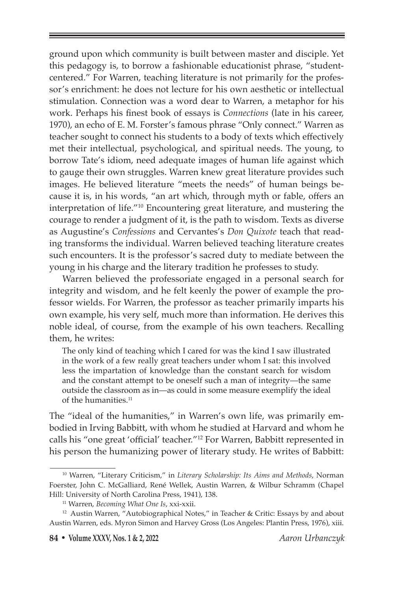ground upon which community is built between master and disciple. Yet this pedagogy is, to borrow a fashionable educationist phrase, "studentcentered." For Warren, teaching literature is not primarily for the professor's enrichment: he does not lecture for his own aesthetic or intellectual stimulation. Connection was a word dear to Warren, a metaphor for his work. Perhaps his finest book of essays is *Connections* (late in his career, 1970), an echo of E. M. Forster's famous phrase "Only connect." Warren as teacher sought to connect his students to a body of texts which effectively met their intellectual, psychological, and spiritual needs. The young, to borrow Tate's idiom, need adequate images of human life against which to gauge their own struggles. Warren knew great literature provides such images. He believed literature "meets the needs" of human beings because it is, in his words, "an art which, through myth or fable, offers an interpretation of life."10 Encountering great literature, and mustering the courage to render a judgment of it, is the path to wisdom. Texts as diverse as Augustine's *Confessions* and Cervantes's *Don Quixote* teach that reading transforms the individual. Warren believed teaching literature creates such encounters. It is the professor's sacred duty to mediate between the young in his charge and the literary tradition he professes to study.

Warren believed the professoriate engaged in a personal search for integrity and wisdom, and he felt keenly the power of example the professor wields. For Warren, the professor as teacher primarily imparts his own example, his very self, much more than information. He derives this noble ideal, of course, from the example of his own teachers. Recalling them, he writes:

The only kind of teaching which I cared for was the kind I saw illustrated in the work of a few really great teachers under whom I sat: this involved less the impartation of knowledge than the constant search for wisdom and the constant attempt to be oneself such a man of integrity—the same outside the classroom as in—as could in some measure exemplify the ideal of the humanities.<sup>11</sup>

The "ideal of the humanities," in Warren's own life, was primarily embodied in Irving Babbitt, with whom he studied at Harvard and whom he calls his "one great 'official' teacher."12 For Warren, Babbitt represented in his person the humanizing power of literary study. He writes of Babbitt:

<sup>10</sup> Warren, "Literary Criticism," in *Literary Scholarship: Its Aims and Methods*, Norman Foerster, John C. McGalliard, René Wellek, Austin Warren, & Wilbur Schramm (Chapel Hill: University of North Carolina Press, 1941), 138.

<sup>11</sup> Warren, *Becoming What One Is*, xxi-xxii.

<sup>&</sup>lt;sup>12</sup> Austin Warren, "Autobiographical Notes," in Teacher & Critic: Essays by and about Austin Warren, eds. Myron Simon and Harvey Gross (Los Angeles: Plantin Press, 1976), xiii.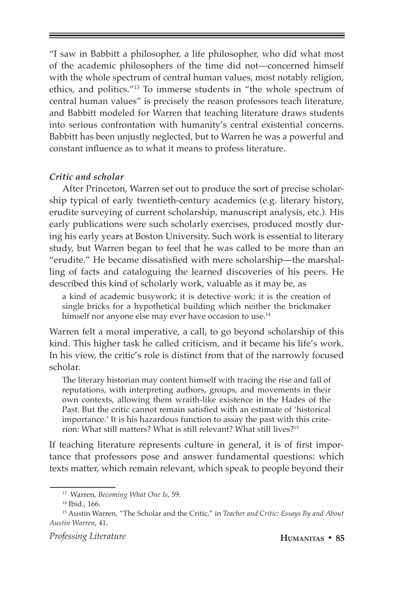"I saw in Babbitt a philosopher, a life philosopher, who did what most of the academic philosophers of the time did not—concerned himself with the whole spectrum of central human values, most notably religion, ethics, and politics."13 To immerse students in "the whole spectrum of central human values" is precisely the reason professors teach literature, and Babbitt modeled for Warren that teaching literature draws students into serious confrontation with humanity's central existential concerns. Babbitt has been unjustly neglected, but to Warren he was a powerful and constant influence as to what it means to profess literature.

#### *Critic and scholar*

After Princeton, Warren set out to produce the sort of precise scholarship typical of early twentieth-century academics (e.g. literary history, erudite surveying of current scholarship, manuscript analysis, etc.). His early publications were such scholarly exercises, produced mostly during his early years at Boston University. Such work is essential to literary study, but Warren began to feel that he was called to be more than an "erudite." He became dissatisfied with mere scholarship—the marshalling of facts and cataloguing the learned discoveries of his peers. He described this kind of scholarly work, valuable as it may be, as

a kind of academic busywork; it is detective work; it is the creation of single bricks for a hypothetical building which neither the brickmaker himself nor anyone else may ever have occasion to use.<sup>14</sup>

Warren felt a moral imperative, a call, to go beyond scholarship of this kind. This higher task he called criticism, and it became his life's work. In his view, the critic's role is distinct from that of the narrowly focused scholar.

The literary historian may content himself with tracing the rise and fall of reputations, with interpreting authors, groups, and movements in their own contexts, allowing them wraith-like existence in the Hades of the Past. But the critic cannot remain satisfied with an estimate of 'historical importance.' It is his hazardous function to assay the past with this criterion: What still matters? What is still relevant? What still lives?15

If teaching literature represents culture in general, it is of first importance that professors pose and answer fundamental questions: which texts matter, which remain relevant, which speak to people beyond their

<sup>13</sup> Warren, *Becoming What One Is*, 59.

<sup>14</sup> Ibid., 166.

<sup>15</sup> Austin Warren, "The Scholar and the Critic," in *Teacher and Critic: Essays By and About Austin Warren*, 41.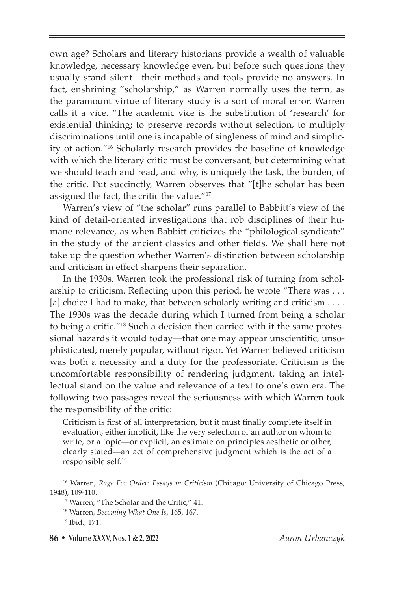own age? Scholars and literary historians provide a wealth of valuable knowledge, necessary knowledge even, but before such questions they usually stand silent—their methods and tools provide no answers. In fact, enshrining "scholarship," as Warren normally uses the term, as the paramount virtue of literary study is a sort of moral error. Warren calls it a vice. "The academic vice is the substitution of 'research' for existential thinking; to preserve records without selection, to multiply discriminations until one is incapable of singleness of mind and simplicity of action."16 Scholarly research provides the baseline of knowledge with which the literary critic must be conversant, but determining what we should teach and read, and why, is uniquely the task, the burden, of the critic. Put succinctly, Warren observes that "[t]he scholar has been assigned the fact, the critic the value."17

Warren's view of "the scholar" runs parallel to Babbitt's view of the kind of detail-oriented investigations that rob disciplines of their humane relevance, as when Babbitt criticizes the "philological syndicate" in the study of the ancient classics and other fields. We shall here not take up the question whether Warren's distinction between scholarship and criticism in effect sharpens their separation.

In the 1930s, Warren took the professional risk of turning from scholarship to criticism. Reflecting upon this period, he wrote "There was . . . [a] choice I had to make, that between scholarly writing and criticism . . . . The 1930s was the decade during which I turned from being a scholar to being a critic."<sup>18</sup> Such a decision then carried with it the same professional hazards it would today—that one may appear unscientific, unsophisticated, merely popular, without rigor. Yet Warren believed criticism was both a necessity and a duty for the professoriate. Criticism is the uncomfortable responsibility of rendering judgment, taking an intellectual stand on the value and relevance of a text to one's own era. The following two passages reveal the seriousness with which Warren took the responsibility of the critic:

Criticism is first of all interpretation, but it must finally complete itself in evaluation, either implicit, like the very selection of an author on whom to write, or a topic—or explicit, an estimate on principles aesthetic or other, clearly stated—an act of comprehensive judgment which is the act of a responsible self.<sup>19</sup>

<sup>16</sup> Warren, *Rage For Order: Essays in Criticism* (Chicago: University of Chicago Press, 1948), 109-110.

<sup>17</sup> Warren, "The Scholar and the Critic," 41.

<sup>18</sup> Warren, *Becoming What One Is*, 165, 167.

<sup>19</sup> Ibid., 171.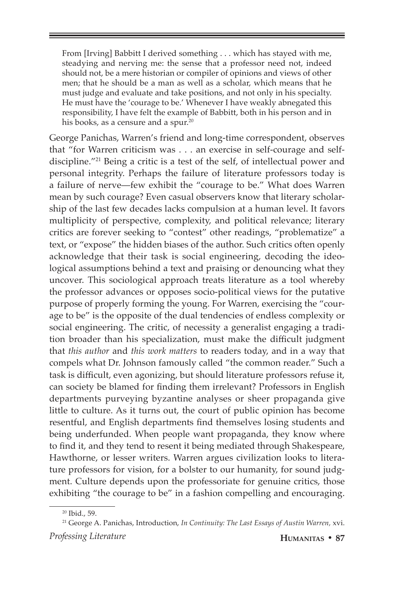From [Irving] Babbitt I derived something . . . which has stayed with me, steadying and nerving me: the sense that a professor need not, indeed should not, be a mere historian or compiler of opinions and views of other men; that he should be a man as well as a scholar, which means that he must judge and evaluate and take positions, and not only in his specialty. He must have the 'courage to be.' Whenever I have weakly abnegated this responsibility, I have felt the example of Babbitt, both in his person and in his books, as a censure and a spur.<sup>20</sup>

George Panichas, Warren's friend and long-time correspondent, observes that "for Warren criticism was . . . an exercise in self-courage and selfdiscipline."21 Being a critic is a test of the self, of intellectual power and personal integrity. Perhaps the failure of literature professors today is a failure of nerve—few exhibit the "courage to be." What does Warren mean by such courage? Even casual observers know that literary scholarship of the last few decades lacks compulsion at a human level. It favors multiplicity of perspective, complexity, and political relevance; literary critics are forever seeking to "contest" other readings, "problematize" a text, or "expose" the hidden biases of the author. Such critics often openly acknowledge that their task is social engineering, decoding the ideological assumptions behind a text and praising or denouncing what they uncover. This sociological approach treats literature as a tool whereby the professor advances or opposes socio-political views for the putative purpose of properly forming the young. For Warren, exercising the "courage to be" is the opposite of the dual tendencies of endless complexity or social engineering. The critic, of necessity a generalist engaging a tradition broader than his specialization, must make the difficult judgment that *this author* and *this work matters* to readers today, and in a way that compels what Dr. Johnson famously called "the common reader." Such a task is difficult, even agonizing, but should literature professors refuse it, can society be blamed for finding them irrelevant? Professors in English departments purveying byzantine analyses or sheer propaganda give little to culture. As it turns out, the court of public opinion has become resentful, and English departments find themselves losing students and being underfunded. When people want propaganda, they know where to find it, and they tend to resent it being mediated through Shakespeare, Hawthorne, or lesser writers. Warren argues civilization looks to literature professors for vision, for a bolster to our humanity, for sound judgment. Culture depends upon the professoriate for genuine critics, those exhibiting "the courage to be" in a fashion compelling and encouraging.

<sup>20</sup> Ibid., 59.

*Professing Literature* **Humanitas • 87** 21 George A. Panichas, Introduction, *In Continuity: The Last Essays of Austin Warren,* xvi.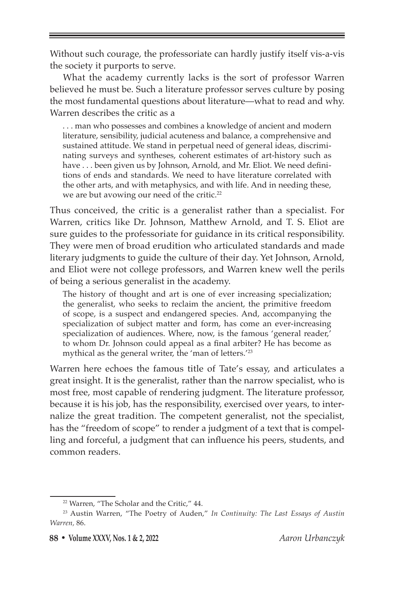Without such courage, the professoriate can hardly justify itself vis-a-vis the society it purports to serve.

What the academy currently lacks is the sort of professor Warren believed he must be. Such a literature professor serves culture by posing the most fundamental questions about literature—what to read and why. Warren describes the critic as a

. . . man who possesses and combines a knowledge of ancient and modern literature, sensibility, judicial acuteness and balance, a comprehensive and sustained attitude. We stand in perpetual need of general ideas, discriminating surveys and syntheses, coherent estimates of art-history such as have . . . been given us by Johnson, Arnold, and Mr. Eliot. We need definitions of ends and standards. We need to have literature correlated with the other arts, and with metaphysics, and with life. And in needing these, we are but avowing our need of the critic.<sup>22</sup>

Thus conceived, the critic is a generalist rather than a specialist. For Warren, critics like Dr. Johnson, Matthew Arnold, and T. S. Eliot are sure guides to the professoriate for guidance in its critical responsibility. They were men of broad erudition who articulated standards and made literary judgments to guide the culture of their day. Yet Johnson, Arnold, and Eliot were not college professors, and Warren knew well the perils of being a serious generalist in the academy.

The history of thought and art is one of ever increasing specialization; the generalist, who seeks to reclaim the ancient, the primitive freedom of scope, is a suspect and endangered species. And, accompanying the specialization of subject matter and form, has come an ever-increasing specialization of audiences. Where, now, is the famous 'general reader,' to whom Dr. Johnson could appeal as a final arbiter? He has become as mythical as the general writer, the 'man of letters.<sup>'23</sup>

Warren here echoes the famous title of Tate's essay, and articulates a great insight. It is the generalist, rather than the narrow specialist, who is most free, most capable of rendering judgment. The literature professor, because it is his job, has the responsibility, exercised over years, to internalize the great tradition. The competent generalist, not the specialist, has the "freedom of scope" to render a judgment of a text that is compelling and forceful, a judgment that can influence his peers, students, and common readers.

<sup>22</sup> Warren, "The Scholar and the Critic," 44.

<sup>23</sup> Austin Warren, "The Poetry of Auden," *In Continuity: The Last Essays of Austin Warren,* 86.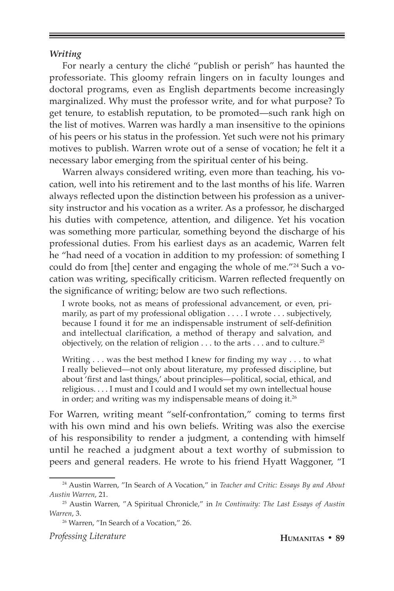#### *Writing*

For nearly a century the cliché "publish or perish" has haunted the professoriate. This gloomy refrain lingers on in faculty lounges and doctoral programs, even as English departments become increasingly marginalized. Why must the professor write, and for what purpose? To get tenure, to establish reputation, to be promoted—such rank high on the list of motives. Warren was hardly a man insensitive to the opinions of his peers or his status in the profession. Yet such were not his primary motives to publish. Warren wrote out of a sense of vocation; he felt it a necessary labor emerging from the spiritual center of his being.

Warren always considered writing, even more than teaching, his vocation, well into his retirement and to the last months of his life. Warren always reflected upon the distinction between his profession as a university instructor and his vocation as a writer. As a professor, he discharged his duties with competence, attention, and diligence. Yet his vocation was something more particular, something beyond the discharge of his professional duties. From his earliest days as an academic, Warren felt he "had need of a vocation in addition to my profession: of something I could do from [the] center and engaging the whole of me."24 Such a vocation was writing, specifically criticism. Warren reflected frequently on the significance of writing; below are two such reflections.

I wrote books, not as means of professional advancement, or even, primarily, as part of my professional obligation . . . . I wrote . . . subjectively, because I found it for me an indispensable instrument of self-definition and intellectual clarification, a method of therapy and salvation, and objectively, on the relation of religion . . . to the arts . . . and to culture.25

Writing . . . was the best method I knew for finding my way . . . to what I really believed—not only about literature, my professed discipline, but about 'first and last things,' about principles—political, social, ethical, and religious. . . . I must and I could and I would set my own intellectual house in order; and writing was my indispensable means of doing it.<sup>26</sup>

For Warren, writing meant "self-confrontation," coming to terms first with his own mind and his own beliefs. Writing was also the exercise of his responsibility to render a judgment, a contending with himself until he reached a judgment about a text worthy of submission to peers and general readers. He wrote to his friend Hyatt Waggoner, "I

*Professing Literature* **Humanitas • 89**

<sup>24</sup> Austin Warren, "In Search of A Vocation," in *Teacher and Critic: Essays By and About Austin Warren*, 21.

<sup>25</sup> Austin Warren, "A Spiritual Chronicle," in *In Continuity: The Last Essays of Austin Warren*, 3.

<sup>&</sup>lt;sup>26</sup> Warren, "In Search of a Vocation," 26.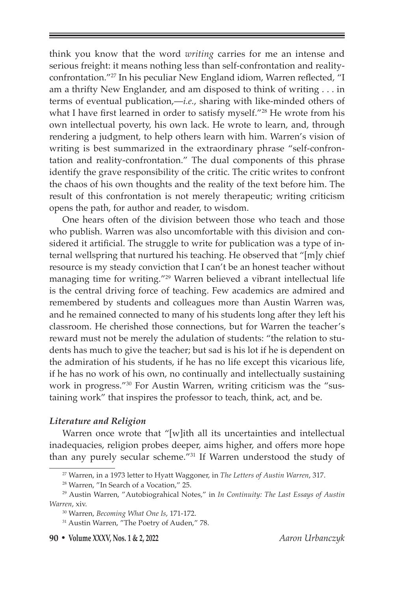think you know that the word *writing* carries for me an intense and serious freight: it means nothing less than self-confrontation and realityconfrontation."27 In his peculiar New England idiom, Warren reflected, "I am a thrifty New Englander, and am disposed to think of writing . . . in terms of eventual publication,—*i.e.*, sharing with like-minded others of what I have first learned in order to satisfy myself."28 He wrote from his own intellectual poverty, his own lack. He wrote to learn, and, through rendering a judgment, to help others learn with him. Warren's vision of writing is best summarized in the extraordinary phrase "self-confrontation and reality-confrontation." The dual components of this phrase identify the grave responsibility of the critic. The critic writes to confront the chaos of his own thoughts and the reality of the text before him. The result of this confrontation is not merely therapeutic; writing criticism opens the path, for author and reader, to wisdom.

One hears often of the division between those who teach and those who publish. Warren was also uncomfortable with this division and considered it artificial. The struggle to write for publication was a type of internal wellspring that nurtured his teaching. He observed that "[m]y chief resource is my steady conviction that I can't be an honest teacher without managing time for writing."29 Warren believed a vibrant intellectual life is the central driving force of teaching. Few academics are admired and remembered by students and colleagues more than Austin Warren was, and he remained connected to many of his students long after they left his classroom. He cherished those connections, but for Warren the teacher's reward must not be merely the adulation of students: "the relation to students has much to give the teacher; but sad is his lot if he is dependent on the admiration of his students, if he has no life except this vicarious life, if he has no work of his own, no continually and intellectually sustaining work in progress."30 For Austin Warren, writing criticism was the "sustaining work" that inspires the professor to teach, think, act, and be.

### *Literature and Religion*

Warren once wrote that "[w]ith all its uncertainties and intellectual inadequacies, religion probes deeper, aims higher, and offers more hope than any purely secular scheme."<sup>31</sup> If Warren understood the study of

**90 • Volume XXXV, Nos. 1 & 2, 2022** *Aaron Urbanczyk*

<sup>27</sup> Warren, in a 1973 letter to Hyatt Waggoner, in *The Letters of Austin Warren*, 317.

<sup>28</sup> Warren, "In Search of a Vocation," 25.

<sup>29</sup> Austin Warren, "Autobiograhical Notes," in *In Continuity: The Last Essays of Austin Warren*, xiv.

<sup>30</sup> Warren, *Becoming What One Is*, 171-172.

<sup>&</sup>lt;sup>31</sup> Austin Warren, "The Poetry of Auden," 78.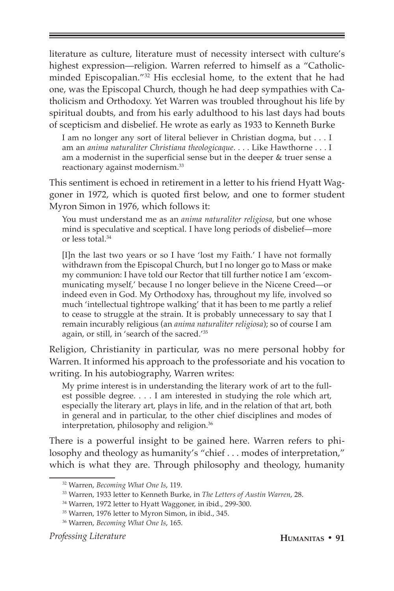literature as culture, literature must of necessity intersect with culture's highest expression—religion. Warren referred to himself as a "Catholicminded Episcopalian."32 His ecclesial home, to the extent that he had one, was the Episcopal Church, though he had deep sympathies with Catholicism and Orthodoxy. Yet Warren was troubled throughout his life by spiritual doubts, and from his early adulthood to his last days had bouts of scepticism and disbelief. He wrote as early as 1933 to Kenneth Burke

I am no longer any sort of literal believer in Christian dogma, but . . . I am an *anima naturaliter Christiana theologicaque*. . . . Like Hawthorne . . . I am a modernist in the superficial sense but in the deeper & truer sense a reactionary against modernism.33

This sentiment is echoed in retirement in a letter to his friend Hyatt Waggoner in 1972, which is quoted first below, and one to former student Myron Simon in 1976, which follows it:

You must understand me as an *anima naturaliter religiosa*, but one whose mind is speculative and sceptical. I have long periods of disbelief—more or less total.<sup>34</sup>

[I]n the last two years or so I have 'lost my Faith.' I have not formally withdrawn from the Episcopal Church, but I no longer go to Mass or make my communion: I have told our Rector that till further notice I am 'excommunicating myself,' because I no longer believe in the Nicene Creed—or indeed even in God. My Orthodoxy has, throughout my life, involved so much 'intellectual tightrope walking' that it has been to me partly a relief to cease to struggle at the strain. It is probably unnecessary to say that I remain incurably religious (an *anima naturaliter religiosa*); so of course I am again, or still, in 'search of the sacred.'35

Religion, Christianity in particular, was no mere personal hobby for Warren. It informed his approach to the professoriate and his vocation to writing. In his autobiography, Warren writes:

My prime interest is in understanding the literary work of art to the fullest possible degree. . . . I am interested in studying the role which art, especially the literary art, plays in life, and in the relation of that art, both in general and in particular, to the other chief disciplines and modes of interpretation, philosophy and religion.36

There is a powerful insight to be gained here. Warren refers to philosophy and theology as humanity's "chief . . . modes of interpretation," which is what they are. Through philosophy and theology, humanity

<sup>32</sup> Warren, *Becoming What One Is*, 119.

<sup>33</sup> Warren, 1933 letter to Kenneth Burke, in *The Letters of Austin Warren*, 28.

<sup>34</sup> Warren, 1972 letter to Hyatt Waggoner, in ibid., 299-300.

<sup>35</sup> Warren, 1976 letter to Myron Simon, in ibid., 345.

<sup>36</sup> Warren, *Becoming What One Is*, 165.